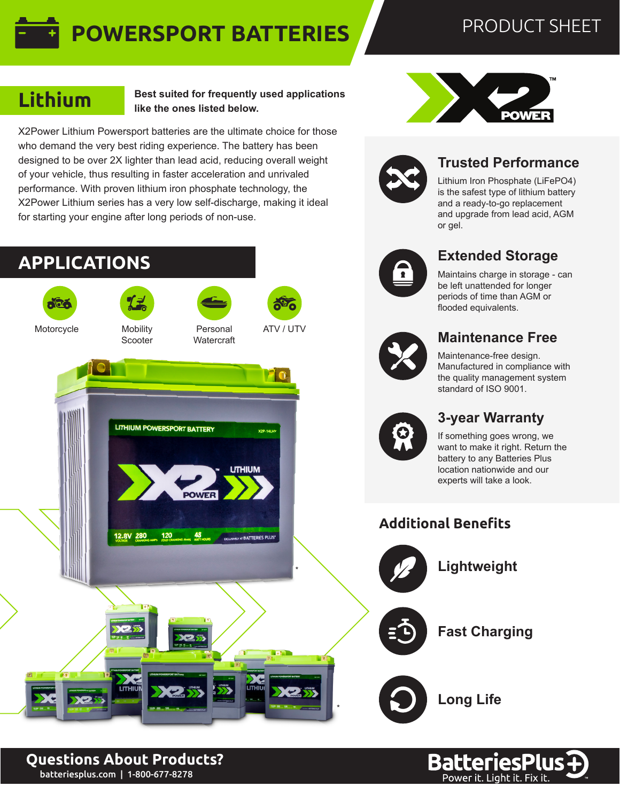# **POWERSPORT BATTERIES**

## PRODUCT SHEET

## **Lithium**

**Best suited for frequently used applications like the ones listed below.**

X2Power Lithium Powersport batteries are the ultimate choice for those who demand the very best riding experience. The battery has been designed to be over 2X lighter than lead acid, reducing overall weight of your vehicle, thus resulting in faster acceleration and unrivaled performance. With proven lithium iron phosphate technology, the X2Power Lithium series has a very low self-discharge, making it ideal for starting your engine after long periods of non-use.







### **Trusted Performance**

Lithium Iron Phosphate (LiFePO4) is the safest type of lithium battery and a ready-to-go replacement and upgrade from lead acid, AGM or gel.

### **Extended Storage**

Maintains charge in storage - can be left unattended for longer periods of time than AGM or flooded equivalents.

#### **Maintenance Free**

Maintenance-free design. Manufactured in compliance with the quality management system standard of ISO 9001.

#### **3-year Warranty**

If something goes wrong, we want to make it right. Return the battery to any Batteries Plus location nationwide and our experts will take a look.





**BatteriesPlus** 

batteriesplus.com | 1-800-677-8278 **Questions About Products?**